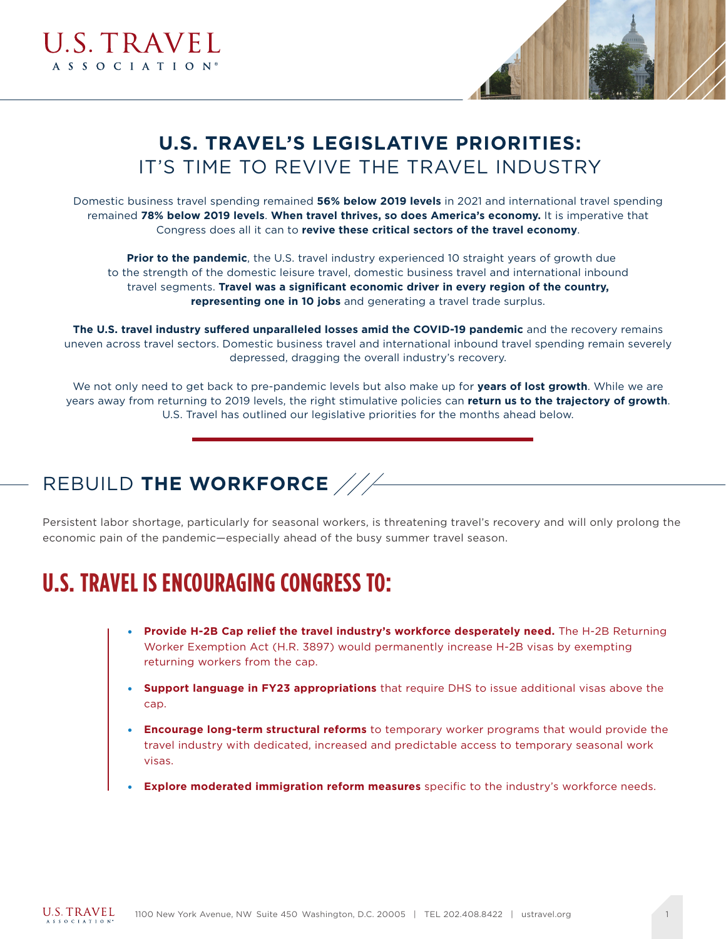



### **U.S. TRAVEL'S LEGISLATIVE PRIORITIES:** IT'S TIME TO REVIVE THE TRAVEL INDUSTRY

Domestic business travel spending remained **56% below 2019 levels** in 2021 and international travel spending remained **78% below 2019 levels**. **When travel thrives, so does America's economy.** It is imperative that Congress does all it can to **revive these critical sectors of the travel economy**.

**Prior to the pandemic**, the U.S. travel industry experienced 10 straight years of growth due to the strength of the domestic leisure travel, domestic business travel and international inbound travel segments. **Travel was a significant economic driver in every region of the country, representing one in 10 jobs** and generating a travel trade surplus.

**The U.S. travel industry suffered unparalleled losses amid the COVID-19 pandemic** and the recovery remains uneven across travel sectors. Domestic business travel and international inbound travel spending remain severely depressed, dragging the overall industry's recovery.

We not only need to get back to pre-pandemic levels but also make up for **years of lost growth**. While we are years away from returning to 2019 levels, the right stimulative policies can **return us to the trajectory of growth**. U.S. Travel has outlined our legislative priorities for the months ahead below.

### REBUILD **THE WORKFORCE**

Persistent labor shortage, particularly for seasonal workers, is threatening travel's recovery and will only prolong the economic pain of the pandemic—especially ahead of the busy summer travel season.

# **U.S. TRAVEL IS ENCOURAGING CONGRESS TO:**

- **Provide H-2B Cap relief the travel industry's workforce desperately need.** The H-2B Returning Worker Exemption Act (H.R. 3897) would permanently increase H-2B visas by exempting returning workers from the cap.
- **Support language in FY23 appropriations** that require DHS to issue additional visas above the cap.
- **Encourage long-term structural reforms** to temporary worker programs that would provide the travel industry with dedicated, increased and predictable access to temporary seasonal work visas.
- **Explore moderated immigration reform measures** specific to the industry's workforce needs.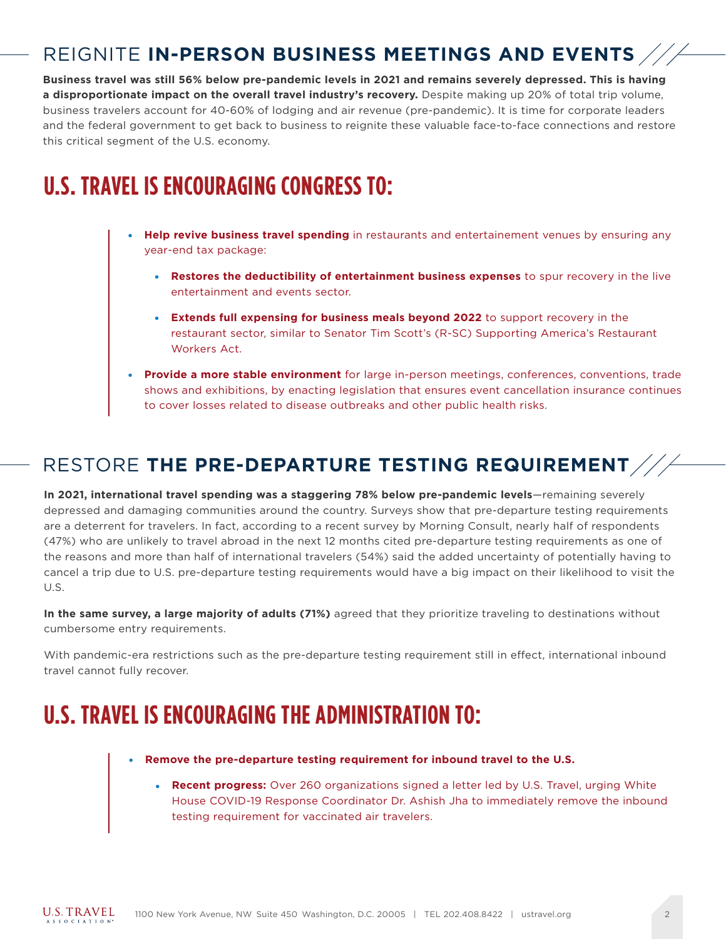### REIGNITE **IN-PERSON BUSINESS MEETINGS AND EVENTS**

**Business travel was still 56% below pre-pandemic levels in 2021 and remains severely depressed. This is having a disproportionate impact on the overall travel industry's recovery.** Despite making up 20% of total trip volume, business travelers account for 40-60% of lodging and air revenue (pre-pandemic). It is time for corporate leaders and the federal government to get back to business to reignite these valuable face-to-face connections and restore this critical segment of the U.S. economy.

### **U.S. TRAVEL IS ENCOURAGING CONGRESS TO:**

- **Help revive business travel spending** in restaurants and entertainement venues by ensuring any year-end tax package:
	- **Restores the deductibility of entertainment business expenses** to spur recovery in the live entertainment and events sector.
	- **Extends full expensing for business meals beyond 2022** to support recovery in the restaurant sector, similar to Senator Tim Scott's (R-SC) Supporting America's Restaurant Workers Act.
- **Provide a more stable environment** for large in-person meetings, conferences, conventions, trade shows and exhibitions, by enacting legislation that ensures event cancellation insurance continues to cover losses related to disease outbreaks and other public health risks.

#### RESTORE **THE PRE-DEPARTURE TESTING REQUIREMENT**

In 2021, international travel spending was a staggering 78% below pre-pandemic levels-remaining severely depressed and damaging communities around the country. Surveys show that pre-departure testing requirements are a deterrent for travelers. In fact, according to a recent survey by Morning Consult, nearly half of respondents (47%) who are unlikely to travel abroad in the next 12 months cited pre-departure testing requirements as one of the reasons and more than half of international travelers (54%) said the added uncertainty of potentially having to cancel a trip due to U.S. pre-departure testing requirements would have a big impact on their likelihood to visit the U.S.

**In the same survey, a large majority of adults (71%)** agreed that they prioritize traveling to destinations without cumbersome entry requirements.

With pandemic-era restrictions such as the pre-departure testing requirement still in effect, international inbound travel cannot fully recover.

### **U.S. TRAVEL IS ENCOURAGING THE ADMINISTRATION TO:**

- **Remove the pre-departure testing requirement for inbound travel to the U.S.** 
	- **Recent progress:** Over 260 organizations signed a letter led by U.S. Travel, urging White House COVID-19 Response Coordinator Dr. Ashish Jha to immediately remove the inbound testing requirement for vaccinated air travelers.